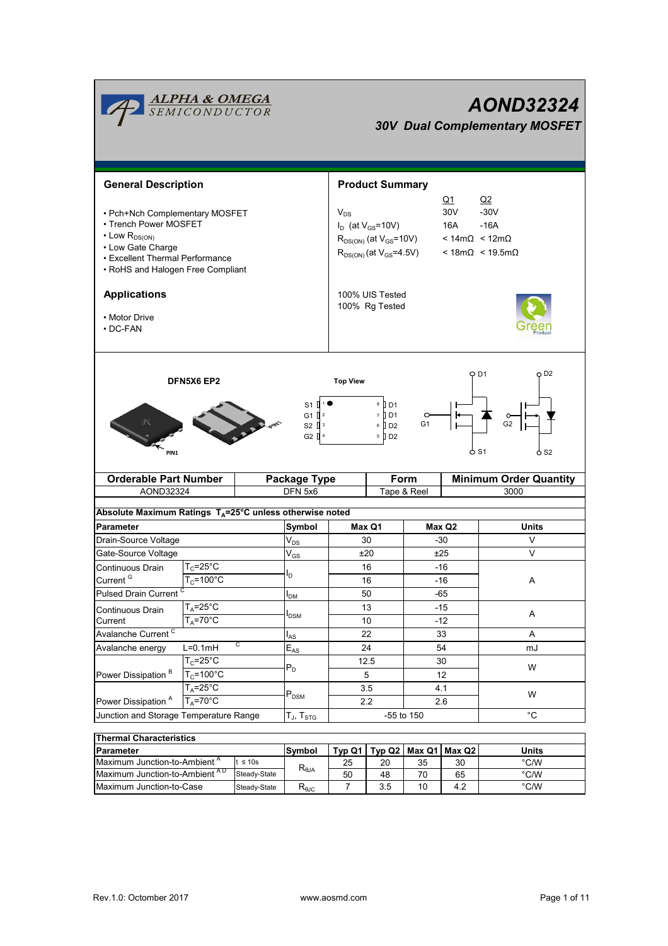| <b>ALPHA &amp; OMEGA</b><br>SEMICONDUCTOR<br>AOND32324<br><b>30V Dual Complementary MOSFET</b>                                                                                                                      |                                               |                 |                                                        |                                                                                                                                                                                               |                        |                       |                                                                       |                               |  |
|---------------------------------------------------------------------------------------------------------------------------------------------------------------------------------------------------------------------|-----------------------------------------------|-----------------|--------------------------------------------------------|-----------------------------------------------------------------------------------------------------------------------------------------------------------------------------------------------|------------------------|-----------------------|-----------------------------------------------------------------------|-------------------------------|--|
| <b>General Description</b>                                                                                                                                                                                          |                                               |                 |                                                        |                                                                                                                                                                                               | <b>Product Summary</b> |                       |                                                                       |                               |  |
| • Pch+Nch Complementary MOSFET<br>• Trench Power MOSFET<br>$\cdot$ Low R <sub>DS(ON)</sub><br>• Low Gate Charge<br>• Excellent Thermal Performance<br>• RoHS and Halogen Free Compliant                             |                                               |                 |                                                        | $Q_1$<br>30 <sub>V</sub><br>$V_{DS}$<br>$I_D$ (at $V_{GS}$ =10V)<br>16A<br>$R_{DS(ON)}$ (at $V_{GS}$ =10V)<br>$< 14 \text{m}\Omega$ < $12 \text{m}\Omega$<br>$R_{DS(ON)}$ (at $V_{GS}$ =4.5V) |                        |                       | Q2<br>$-30V$<br>$-16A$<br>$< 18 \text{m}\Omega < 19.5 \text{m}\Omega$ |                               |  |
| <b>Applications</b><br>• Motor Drive<br>$\cdot$ DC-FAN                                                                                                                                                              |                                               |                 |                                                        | 100% UIS Tested<br>100% Rq Tested                                                                                                                                                             |                        |                       |                                                                       |                               |  |
| D <sub>1</sub><br><b>DFN5X6 EP2</b><br><b>Top View</b><br>8<br>II D1<br>7 D1<br>G1 $\sqrt{2}$<br>G2<br>G <sub>1</sub><br>$6$ D <sub>2</sub><br>$S2 \parallel$ <sup>3</sup><br>G <sub>2</sub> $\Box$<br>5 D2<br>PIN1 |                                               |                 |                                                        |                                                                                                                                                                                               |                        | o D2                  |                                                                       |                               |  |
| <b>Orderable Part Number</b>                                                                                                                                                                                        |                                               |                 |                                                        | Form<br><b>Package Type</b>                                                                                                                                                                   |                        |                       |                                                                       | <b>Minimum Order Quantity</b> |  |
| AOND32324                                                                                                                                                                                                           |                                               |                 | DFN 5x6<br>Tape & Reel                                 |                                                                                                                                                                                               |                        |                       | 3000                                                                  |                               |  |
| Absolute Maximum Ratings $T_A = 25^\circ \text{C}$ unless otherwise noted                                                                                                                                           |                                               |                 |                                                        |                                                                                                                                                                                               |                        |                       |                                                                       |                               |  |
| <b>Parameter</b>                                                                                                                                                                                                    |                                               |                 | Symbol                                                 | Max Q1                                                                                                                                                                                        |                        | Max Q2                | <b>Units</b>                                                          |                               |  |
| Drain-Source Voltage                                                                                                                                                                                                |                                               |                 | $\mathsf{V}_{\mathsf{DS}}$                             | 30<br>-30                                                                                                                                                                                     |                        |                       | V                                                                     |                               |  |
| Gate-Source Voltage                                                                                                                                                                                                 |                                               |                 | $\mathsf{V}_{\mathsf{GS}}$                             | ±20                                                                                                                                                                                           |                        | ±25                   |                                                                       | V                             |  |
| Continuous Drain                                                                                                                                                                                                    | $T_c$ =25°C                                   |                 | l <sub>D</sub>                                         | 16                                                                                                                                                                                            |                        | $-16$                 |                                                                       | A                             |  |
| Pulsed Drain Current <sup>C</sup>                                                                                                                                                                                   | Current <sup>G</sup><br>$T_c = 100^{\circ}$ C |                 |                                                        | 16                                                                                                                                                                                            |                        | $-16$                 |                                                                       |                               |  |
|                                                                                                                                                                                                                     | $T_A = 25^\circ C$                            |                 | $I_{DM}$                                               | 50<br>13                                                                                                                                                                                      |                        | $-65$<br>$-15$        |                                                                       |                               |  |
| Current                                                                                                                                                                                                             | Continuous Drain<br>$T_{\text{A}}$ =70°C      |                 | I <sub>DSM</sub>                                       | 10                                                                                                                                                                                            |                        | $-12$                 |                                                                       | Α                             |  |
| Avalanche Current <sup>C</sup>                                                                                                                                                                                      |                                               |                 | $I_{AS}$                                               | 22                                                                                                                                                                                            |                        | 33                    |                                                                       | Α                             |  |
| Avalanche energy                                                                                                                                                                                                    | C<br>$L=0.1mH$                                |                 | $E_{AS}$                                               | 24                                                                                                                                                                                            |                        | 54                    |                                                                       | mJ                            |  |
|                                                                                                                                                                                                                     | $T_c = 25^{\circ}C$                           |                 | $P_D$                                                  | 12.5                                                                                                                                                                                          |                        | 30                    |                                                                       | W                             |  |
| Power Dissipation <sup>B</sup>                                                                                                                                                                                      | $T_c = 100^{\circ}$ C                         |                 |                                                        | 5                                                                                                                                                                                             |                        | 12                    |                                                                       |                               |  |
|                                                                                                                                                                                                                     | $T_A = 25^\circ C$                            |                 | $P_{DSM}$                                              | 3.5                                                                                                                                                                                           |                        | 4.1                   |                                                                       | W                             |  |
| $T_A = 70^\circ C$<br>Power Dissipation <sup>A</sup>                                                                                                                                                                |                                               |                 | 2.2<br>-55 to 150                                      |                                                                                                                                                                                               |                        | 2.6                   |                                                                       |                               |  |
| Junction and Storage Temperature Range                                                                                                                                                                              |                                               |                 | $\mathsf{T}_{\mathsf{J}},\, \mathsf{T}_{\mathsf{STG}}$ |                                                                                                                                                                                               |                        |                       |                                                                       | $^{\circ}C$                   |  |
| <b>Thermal Characteristics</b>                                                                                                                                                                                      |                                               |                 |                                                        |                                                                                                                                                                                               |                        |                       |                                                                       |                               |  |
| Parameter                                                                                                                                                                                                           |                                               |                 | Symbol                                                 | Type Q1                                                                                                                                                                                       |                        | Typ Q2 $ $ Max Q1 $ $ | Max Q2                                                                | <b>Units</b>                  |  |
| Maximum Junction-to-Ambient A<br>$t \leq 10s$<br>Maximum lunction-to-Ambient AD                                                                                                                                     |                                               | $R_{\theta JA}$ | 25                                                     | 20                                                                                                                                                                                            | 35                     | 30                    | $\degree$ C/W                                                         |                               |  |
|                                                                                                                                                                                                                     |                                               | Steady-State    |                                                        | 50                                                                                                                                                                                            | $\overline{AB}$        | 70                    | 65                                                                    | $^{\circ}$ CAM                |  |

Steady-State  $\begin{array}{|c|c|c|c|c|}\n\hline\n\text{Steady-State} & \text{R}_{\theta\text{JG}} & \text{50} & \text{48} & \text{70} & \text{65} \\
\hline\n\text{Steady-State} & \text{R}_{\theta\text{JC}} & \text{7} & \text{3.5} & \text{10} & \text{4.2} \\
\hline\n\end{array}$ Steady-State  $R_{\theta JC}$  7 3.5 10 4.2

Maximum Junction-to-Case Steady-State R<sub>eJC</sub> 7 3.5 10 4.2 Maximum Junction-to-Ambient <sup>A D</sup> Steady-State R<sub>6JA</sub>  $\overline{50}$  48 70 65 °C/W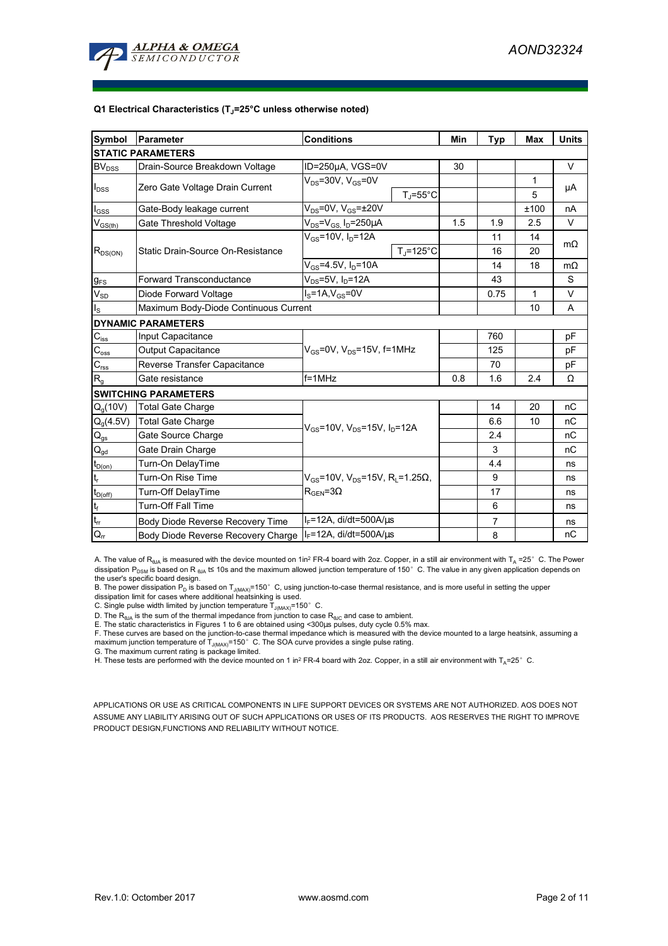

#### **Q1 Electrical Characteristics (TJ=25°C unless otherwise noted)**

| Symbol                                  | <b>Parameter</b>                                                      | <b>Conditions</b>                                                           | Min | <b>Typ</b>     | <b>Max</b>   | <b>Units</b> |  |  |
|-----------------------------------------|-----------------------------------------------------------------------|-----------------------------------------------------------------------------|-----|----------------|--------------|--------------|--|--|
| <b>STATIC PARAMETERS</b>                |                                                                       |                                                                             |     |                |              |              |  |  |
| <b>BV</b> <sub>DSS</sub>                | Drain-Source Breakdown Voltage                                        | ID=250µA, VGS=0V                                                            | 30  |                |              | V            |  |  |
| $I_{DSS}$                               | Zero Gate Voltage Drain Current                                       | $V_{DS}$ =30V, $V_{GS}$ =0V                                                 |     |                | 1            | μA           |  |  |
|                                         |                                                                       | $T_J = 55^{\circ}C$                                                         |     |                | 5            |              |  |  |
| $I_{GSS}$                               | Gate-Body leakage current                                             | $V_{DS}$ =0V, $V_{GS}$ = $\pm$ 20V                                          |     |                | ±100         | nA           |  |  |
| $\mathsf{V}_{\mathsf{GS}(\mathsf{th})}$ | Gate Threshold Voltage                                                | $V_{DS} = V_{GS}$ , $I_D = 250 \mu A$                                       | 1.5 | 1.9            | 2.5          | $\vee$       |  |  |
| $R_{DS(ON)}$                            | Static Drain-Source On-Resistance                                     | $V_{GS}$ =10V, $I_D$ =12A                                                   |     | 11             | 14           | $m\Omega$    |  |  |
|                                         |                                                                       | $T_i = 125$ °C                                                              |     | 16             | 20           |              |  |  |
|                                         |                                                                       | $V_{GS} = 4.5V, I_D = 10A$                                                  |     | 14             | 18           | $m\Omega$    |  |  |
| $g_{FS}$                                | <b>Forward Transconductance</b>                                       | $V_{DS}$ =5V, I <sub>D</sub> =12A                                           |     | 43             |              | S            |  |  |
| $V_{SD}$                                | Diode Forward Voltage                                                 | $IS=1A, VGS=0V$                                                             |     | 0.75           | $\mathbf{1}$ | V            |  |  |
| $I_{\rm S}$                             | Maximum Body-Diode Continuous Current                                 |                                                                             |     | 10             | A            |              |  |  |
|                                         | <b>DYNAMIC PARAMETERS</b>                                             |                                                                             |     |                |              |              |  |  |
| $C_{iss}$                               | Input Capacitance                                                     |                                                                             |     | 760            |              | pF           |  |  |
| $\mathbf{C}_{\text{oss}}$               | Output Capacitance                                                    | $V_{GS}$ =0V, $V_{DS}$ =15V, f=1MHz                                         |     | 125            |              | pF           |  |  |
| $\mathbf{C}_{\text{rss}}$               | Reverse Transfer Capacitance                                          |                                                                             |     | 70             |              | pF           |  |  |
| $R_{g}$                                 | Gate resistance                                                       | $f = 1$ MHz                                                                 | 0.8 | 1.6            | 2.4          | Ω            |  |  |
|                                         | <b>SWITCHING PARAMETERS</b>                                           |                                                                             |     |                |              |              |  |  |
| Q <sub>a</sub> (10V)                    | <b>Total Gate Charge</b>                                              |                                                                             |     | 14             | 20           | nC           |  |  |
| $Q_g(4.5V)$                             | <b>Total Gate Charge</b>                                              | $V_{GS}$ =10V, V <sub>DS</sub> =15V, I <sub>D</sub> =12A                    |     | 6.6            | 10           | nC           |  |  |
| $Q_{gs}$                                | Gate Source Charge                                                    |                                                                             |     | 2.4            |              | nC           |  |  |
| $\mathbf{Q}_{\text{gd}}$                | Gate Drain Charge                                                     |                                                                             |     | 3              |              | nC           |  |  |
| $t_{D(on)}$                             | Turn-On DelayTime                                                     |                                                                             |     | 4.4            |              | ns           |  |  |
| t,                                      | Turn-On Rise Time                                                     | $V_{\text{GS}}$ =10V, V <sub>DS</sub> =15V, R <sub>1</sub> =1.25 $\Omega$ , |     | 9              |              | ns           |  |  |
| $t_{D(off)}$                            | Turn-Off DelayTime                                                    | $R_{\text{GEN}} = 3\Omega$                                                  |     | 17             |              | ns           |  |  |
| $\mathbf{t}_\text{f}$                   | <b>Turn-Off Fall Time</b>                                             |                                                                             |     | 6              |              | ns           |  |  |
| $\mathfrak{t}_{\text{rr}}$              | $I_F$ =12A, di/dt=500A/ $\mu$ s<br>Body Diode Reverse Recovery Time   |                                                                             |     | $\overline{7}$ |              | ns           |  |  |
| $Q_{rr}$                                | $I_F$ =12A, di/dt=500A/ $\mu$ s<br>Body Diode Reverse Recovery Charge |                                                                             |     | 8              |              | пC           |  |  |

A. The value of  $R_{\theta JA}$  is measured with the device mounted on 1in<sup>2</sup> FR-4 board with 2oz. Copper, in a still air environment with T<sub>A</sub> =25°C. The Power dissipation P<sub>DSM</sub> is based on R <sub>θJA</sub> t≤ 10s and the maximum allowed junction temperature of 150°C. The value in any given application depends on

the user's specific board design.<br>B. The power dissipation P<sub>D</sub> is based on T<sub>J(MAX)</sub>=150° C, using junction-to-case thermal resistance, and is more useful in setting the upper<br>dissipation limit for cases where additional

D. The  $R_{\theta JA}$  is the sum of the thermal impedance from junction to case  $R_{\theta JC}$  and case to ambient. E. The static characteristics in Figures 1 to 6 are obtained using <300us pulses, duty cycle 0.5% max.

F. These curves are based on the junction-to-case thermal impedance which is measured with the device mounted to a large heatsink, assuming a maximum junction temperature of  $T_{J(MAX)}$ =150°C. The SOA curve provides a single pulse rating.

G. The maximum current rating is package limited.

H. These tests are performed with the device mounted on 1 in<sup>2</sup> FR-4 board with 2oz. Copper, in a still air environment with T<sub>A</sub>=25°C.

APPLICATIONS OR USE AS CRITICAL COMPONENTS IN LIFE SUPPORT DEVICES OR SYSTEMS ARE NOT AUTHORIZED. AOS DOES NOT ASSUME ANY LIABILITY ARISING OUT OF SUCH APPLICATIONS OR USES OF ITS PRODUCTS. AOS RESERVES THE RIGHT TO IMPROVE PRODUCT DESIGN,FUNCTIONS AND RELIABILITY WITHOUT NOTICE.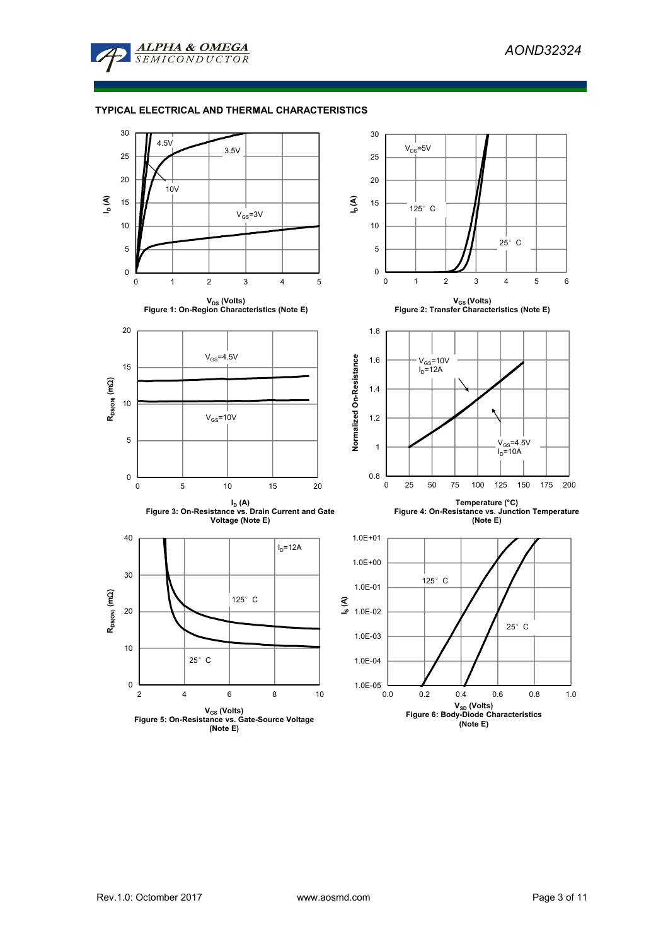

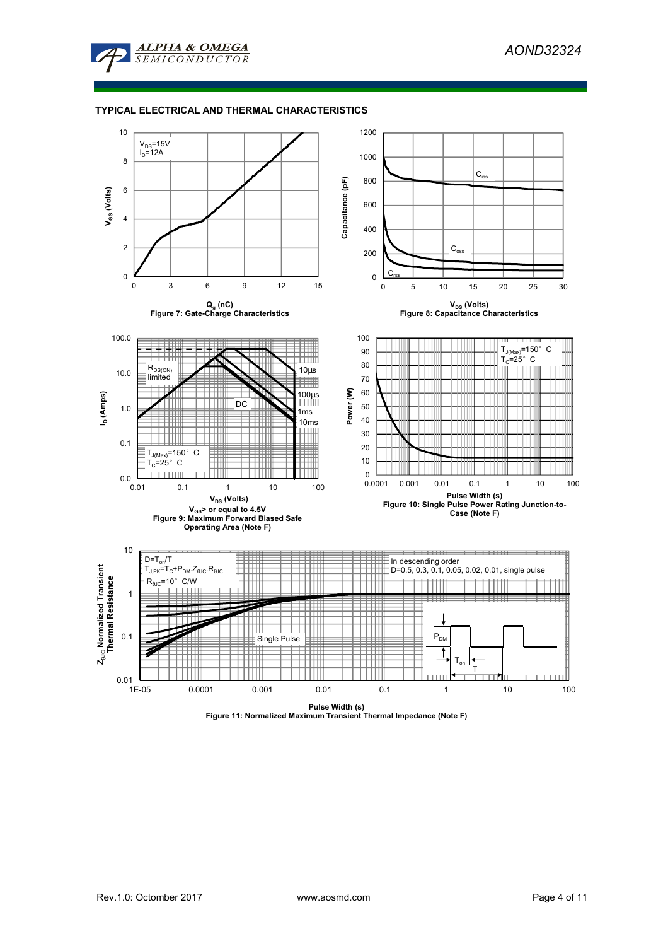

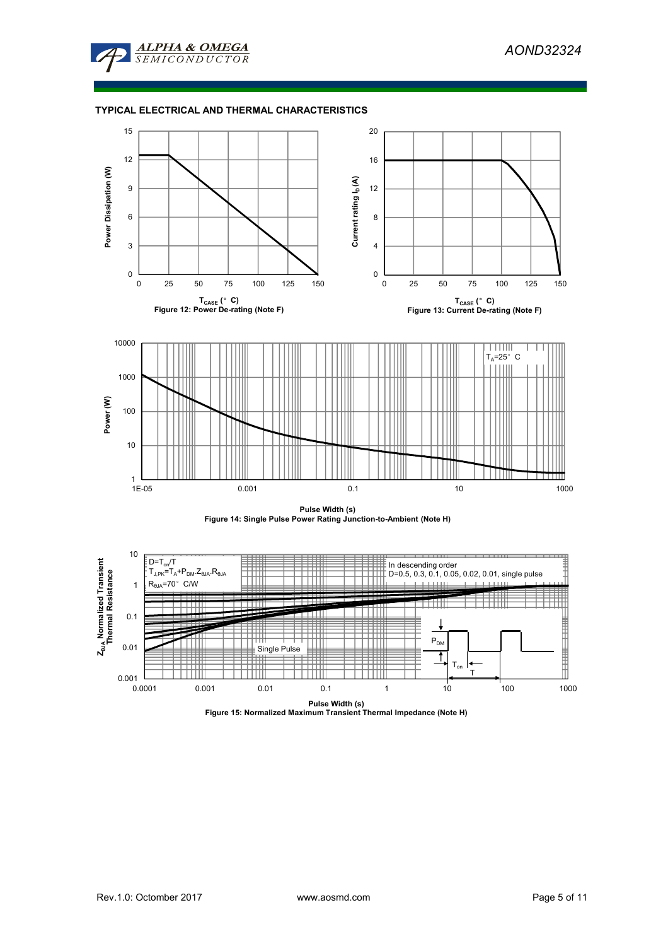







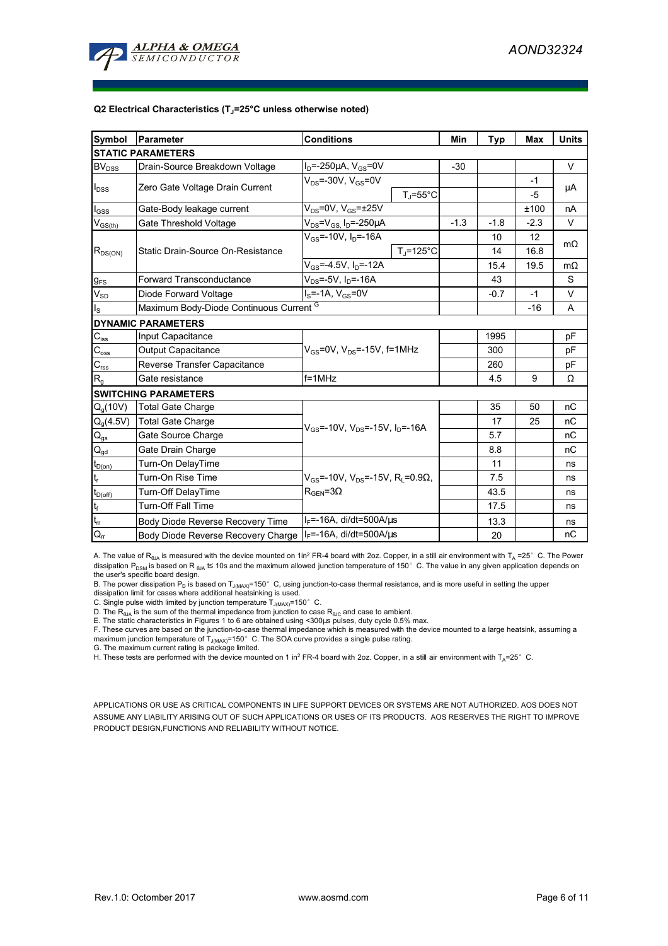

#### **Q2 Electrical Characteristics (TJ=25°C unless otherwise noted)**

| Symbol                                  | Parameter                                                                               | <b>Conditions</b>                                                            | Min    | <b>Typ</b> | <b>Max</b> | <b>Units</b> |  |  |
|-----------------------------------------|-----------------------------------------------------------------------------------------|------------------------------------------------------------------------------|--------|------------|------------|--------------|--|--|
| <b>STATIC PARAMETERS</b>                |                                                                                         |                                                                              |        |            |            |              |  |  |
| <b>BV</b> <sub>DSS</sub>                | $I_D = -250 \mu A$ , $V_{GS} = 0V$<br>Drain-Source Breakdown Voltage                    |                                                                              | $-30$  |            |            | $\vee$       |  |  |
| $I_{\text{DSS}}$                        | Zero Gate Voltage Drain Current                                                         | $V_{DS}$ =-30V, $V_{GS}$ =0V                                                 |        |            | $-1$       | μA           |  |  |
|                                         |                                                                                         | $T_{\rm J}$ =55°C                                                            |        |            | $-5$       |              |  |  |
| $I_{GSS}$                               | Gate-Body leakage current                                                               | $V_{DS}$ =0V, $V_{GS}$ = $\pm$ 25V                                           |        |            | ±100       | nA           |  |  |
| $\mathsf{V}_{\mathsf{GS}(\mathsf{th})}$ | Gate Threshold Voltage                                                                  | $V_{DS} = V_{GS} I_D = -250 \mu A$                                           | $-1.3$ | $-1.8$     | $-2.3$     | V            |  |  |
|                                         | Static Drain-Source On-Resistance                                                       | $V_{GS}$ =-10V, $I_D$ =-16A                                                  |        | 10         | 12         | $m\Omega$    |  |  |
| $R_{DS(ON)}$                            |                                                                                         | $T_{\rm J}$ =125°C                                                           |        | 14         | 16.8       |              |  |  |
|                                         |                                                                                         | $V_{GS} = -4.5V$ , $I_D = -12A$                                              |        | 15.4       | 19.5       | $m\Omega$    |  |  |
| $g_{FS}$                                | $V_{DS} = -5V$ , $I_{D} = -16A$<br><b>Forward Transconductance</b>                      |                                                                              |        | 43         |            | S            |  |  |
| $V_{SD}$                                | Diode Forward Voltage<br>$I_S = -1A$ , $V_{GS} = 0V$                                    |                                                                              |        | $-0.7$     | $-1$       | V            |  |  |
| $I_{\rm S}$                             | Maximum Body-Diode Continuous Current G                                                 |                                                                              |        | $-16$      | A          |              |  |  |
|                                         | <b>DYNAMIC PARAMETERS</b>                                                               |                                                                              |        |            |            |              |  |  |
| $C_{iss}$                               | Input Capacitance                                                                       |                                                                              |        | 1995       |            | pF           |  |  |
| $C_{\rm oss}$                           | $V_{GS}$ =0V, $V_{DS}$ =-15V, f=1MHz<br>Output Capacitance                              |                                                                              |        | 300        |            | pF           |  |  |
| $\mathbf{C}_{\text{rss}}$               | Reverse Transfer Capacitance                                                            |                                                                              |        | 260        |            | рF           |  |  |
| $R_{g}$                                 | $f = 1$ MHz<br>Gate resistance                                                          |                                                                              |        | 4.5        | 9          | Ω            |  |  |
|                                         | <b>SWITCHING PARAMETERS</b>                                                             |                                                                              |        |            |            |              |  |  |
| $Q_q(10V)$                              | <b>Total Gate Charge</b>                                                                |                                                                              |        | 35         | 50         | nC           |  |  |
| $Q_g(4.5V)$                             | <b>Total Gate Charge</b><br>$V_{GS}$ =-10V, V <sub>DS</sub> =-15V, I <sub>D</sub> =-16A |                                                                              |        | 17         | 25         | nC           |  |  |
| $Q_{gs}$                                | Gate Source Charge                                                                      |                                                                              |        | 5.7        |            | nC           |  |  |
| $Q_{gd}$                                | Gate Drain Charge                                                                       |                                                                              |        | 8.8        |            | nC           |  |  |
| $t_{D(0n)}$                             | Turn-On DelayTime                                                                       |                                                                              |        | 11         |            | ns           |  |  |
| $t_{r}$                                 | Turn-On Rise Time                                                                       | $V_{\text{gs}}$ =-10V, V <sub>DS</sub> =-15V, R <sub>1</sub> =0.9 $\Omega$ , |        | 7.5        |            | ns           |  |  |
| $t_{D(off)}$                            | Turn-Off DelayTime                                                                      | $R_{\text{GEN}} = 3\Omega$                                                   |        | 43.5       |            | ns           |  |  |
| $\mathsf{t}_{\mathsf{f}}$               | <b>Turn-Off Fall Time</b>                                                               |                                                                              |        | 17.5       |            | ns           |  |  |
| $t_{rr}$                                | Body Diode Reverse Recovery Time                                                        | $I_F$ =-16A, di/dt=500A/ $\mu$ s                                             |        | 13.3       |            | ns           |  |  |
| $Q_{rr}$                                | Body Diode Reverse Recovery Charge                                                      | $I_F$ =-16A, di/dt=500A/us                                                   |        | 20         |            | nC           |  |  |

A. The value of R<sub>eJA</sub> is measured with the device mounted on 1in<sup>2</sup> FR-4 board with 2oz. Copper, in a still air environment with T<sub>A</sub> =25° C. The Power dissipation P<sub>DSM</sub> is based on R <sub>θJA</sub> t≤ 10s and the maximum allowed junction temperature of 150°C. The value in any given application depends on

the user's specific board design.<br>B. The power dissipation P<sub>D</sub> is based on T<sub>J(MAX)</sub>=150° C, using junction-to-case thermal resistance, and is more useful in setting the upper<br>dissipation limit for cases where additional

C. Single pulse width limited by junction temperature  $\overline{T}_{J(MAX)}$ =150°C.

D. The  $R_{AIA}$  is the sum of the thermal impedance from junction to case  $R_{AIC}$  and case to ambient.

E. The static characteristics in Figures 1 to 6 are obtained using <300µs pulses, duty cycle 0.5% max.

F. These curves are based on the junction-to-case thermal impedance which is measured with the device mounted to a large heatsink, assuming a maximum junction temperature of T<sub>J(MAX)</sub>=150°C. The SOA curve provides a single pulse rating.<br>G. The maximum current rating is package limited.

H. These tests are performed with the device mounted on 1 in<sup>2</sup> FR-4 board with 2oz. Copper, in a still air environment with T<sub>A</sub>=25°C.

APPLICATIONS OR USE AS CRITICAL COMPONENTS IN LIFE SUPPORT DEVICES OR SYSTEMS ARE NOT AUTHORIZED. AOS DOES NOT ASSUME ANY LIABILITY ARISING OUT OF SUCH APPLICATIONS OR USES OF ITS PRODUCTS. AOS RESERVES THE RIGHT TO IMPROVE PRODUCT DESIGN,FUNCTIONS AND RELIABILITY WITHOUT NOTICE.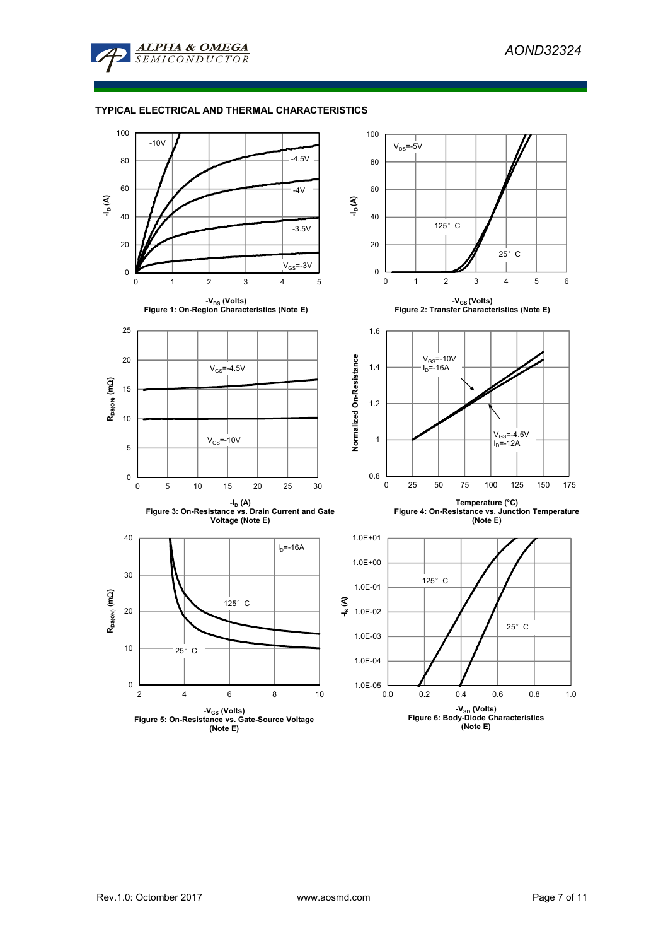

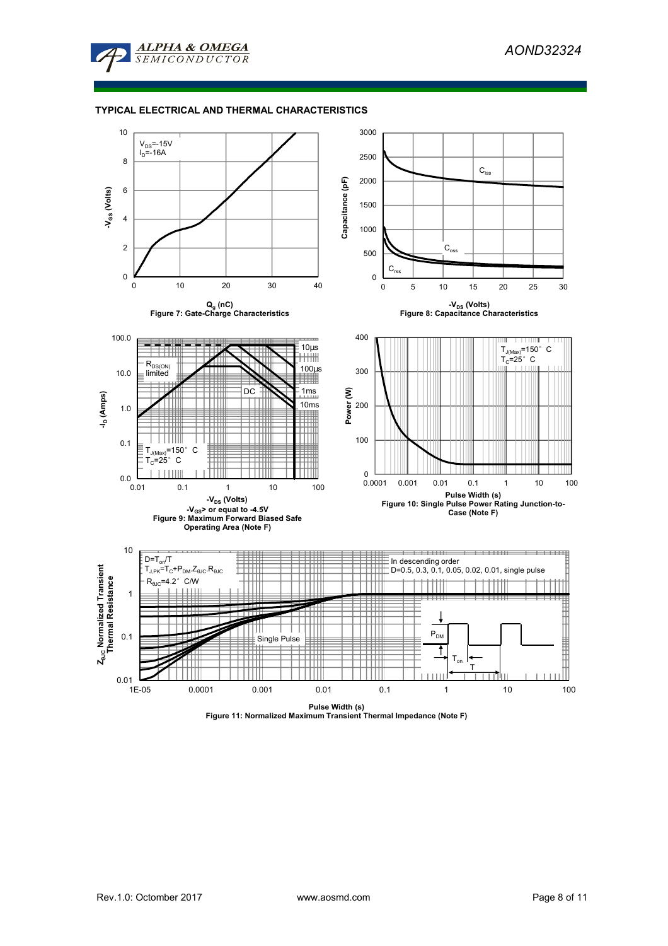



**Pulse Width (s) Figure 11: Normalized Maximum Transient Thermal Impedance (Note F)**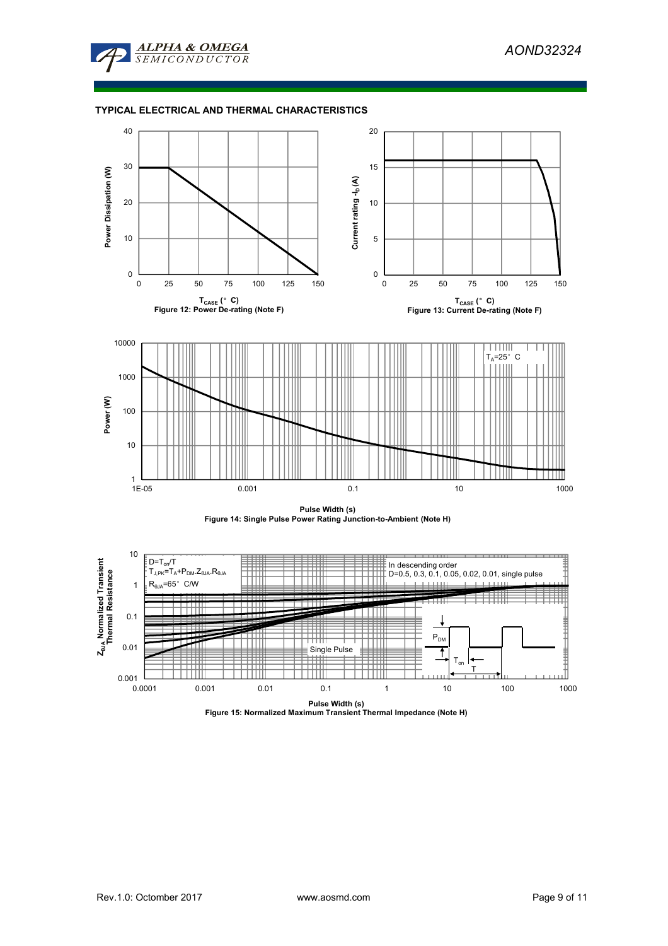







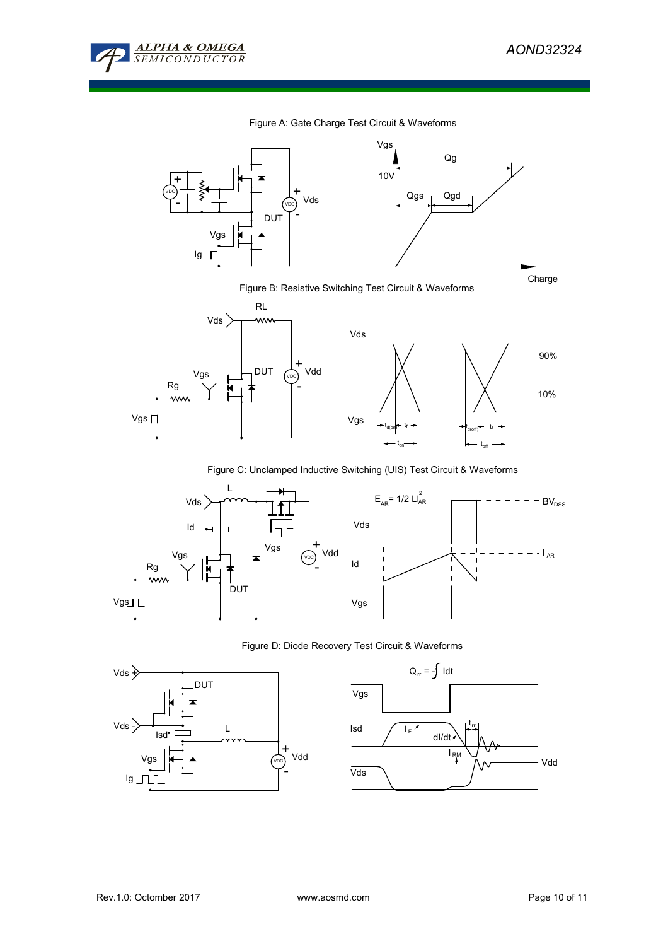

## Figure A: Gate Charge Test Circuit & Waveforms



# Figure B: Resistive Switching Test Circuit & Waveforms



Figure C: Unclamped Inductive Switching (UIS) Test Circuit & Waveforms



## Figure D: Diode Recovery Test Circuit & Waveforms